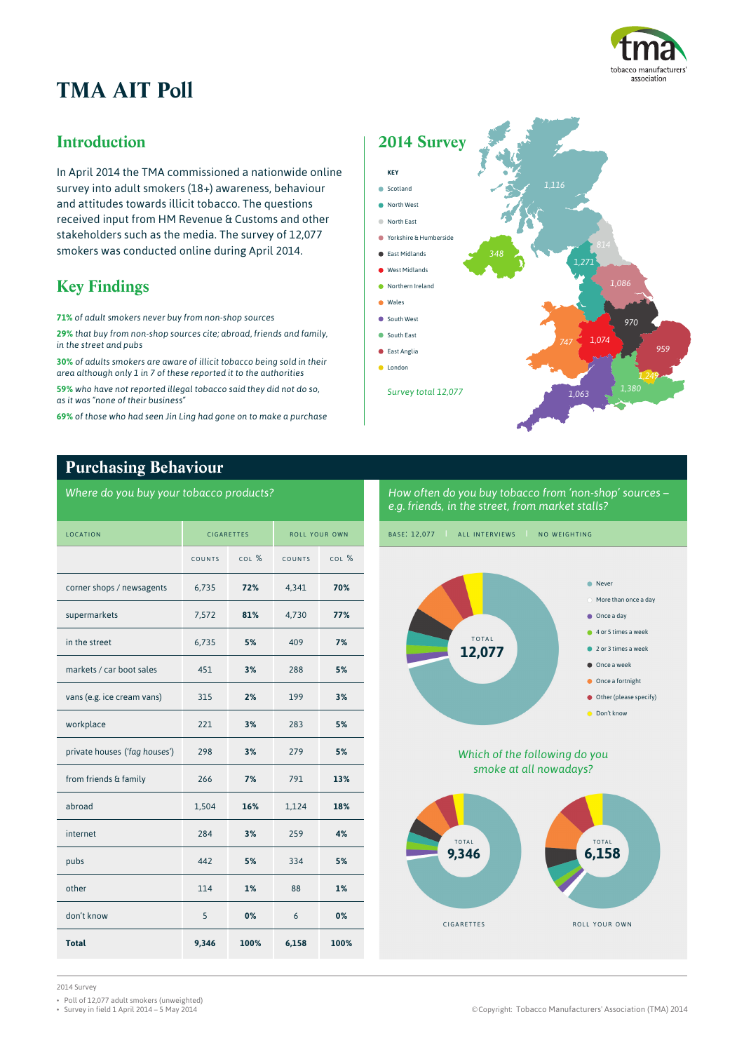

# **TMA AIT Poll**

## **Introduction**

In April 2014 the TMA commissioned a nationwide online survey into adult smokers (18+) awareness, behaviour and attitudes towards illicit tobacco. The questions received input from HM Revenue & Customs and other stakeholders such as the media. The survey of 12,077 smokers was conducted online during April 2014.

# **Key Findings**

**71%** *of adult smokers never buy from non-shop sources*

**29%** *that buy from non-shop sources cite; abroad, friends and family, in the street and pubs*

**30%** *of adults smokers are aware of illicit tobacco being sold in their area although only 1 in 7 of these reported it to the authorities*

**59%** *who have not reported illegal tobacco said they did not do so, as it was "none of their business"*

**69%** *of those who had seen Jin Ling had gone on to make a purchase*



## **Purchasing Behaviour**

*Where do you buy your tobacco products?*

| LOCATION                      | <b>CIGARETTES</b> |         | ROLL YOUR OWN |         |
|-------------------------------|-------------------|---------|---------------|---------|
|                               | COUNTS            | $COI$ % | COUNTS        | $COI$ % |
| corner shops / newsagents     | 6,735             | 72%     | 4,341         | 70%     |
| supermarkets                  | 7,572             | 81%     | 4,730         | 77%     |
| in the street                 | 6,735             | 5%      | 409           | 7%      |
| markets / car boot sales      | 451               | 3%      | 288           | 5%      |
| vans (e.g. ice cream vans)    | 315               | 2%      | 199           | 3%      |
| workplace                     | 221               | 3%      | 283           | 5%      |
| private houses ('fag houses') | 298               | 3%      | 279           | 5%      |
| from friends & family         | 266               | 7%      | 791           | 13%     |
| abroad                        | 1,504             | 16%     | 1,124         | 18%     |
| internet                      | 284               | 3%      | 259           | 4%      |
| pubs                          | 442               | 5%      | 334           | 5%      |
| other                         | 114               | 1%      | 88            | 1%      |
| don't know                    | 5                 | 0%      | 6             | 0%      |
| <b>Total</b>                  | 9,346             | 100%    | 6,158         | 100%    |

*How often do you buy tobacco from 'non-shop' sources – e.g. friends, in the street, from market stalls?*



*Which of the following do you smoke at all nowadays?*



2014 Survey

• Poll of 12,077 adult smokers (unweighted)<br>• Survey in field 1 April 2014 – 5 May 2014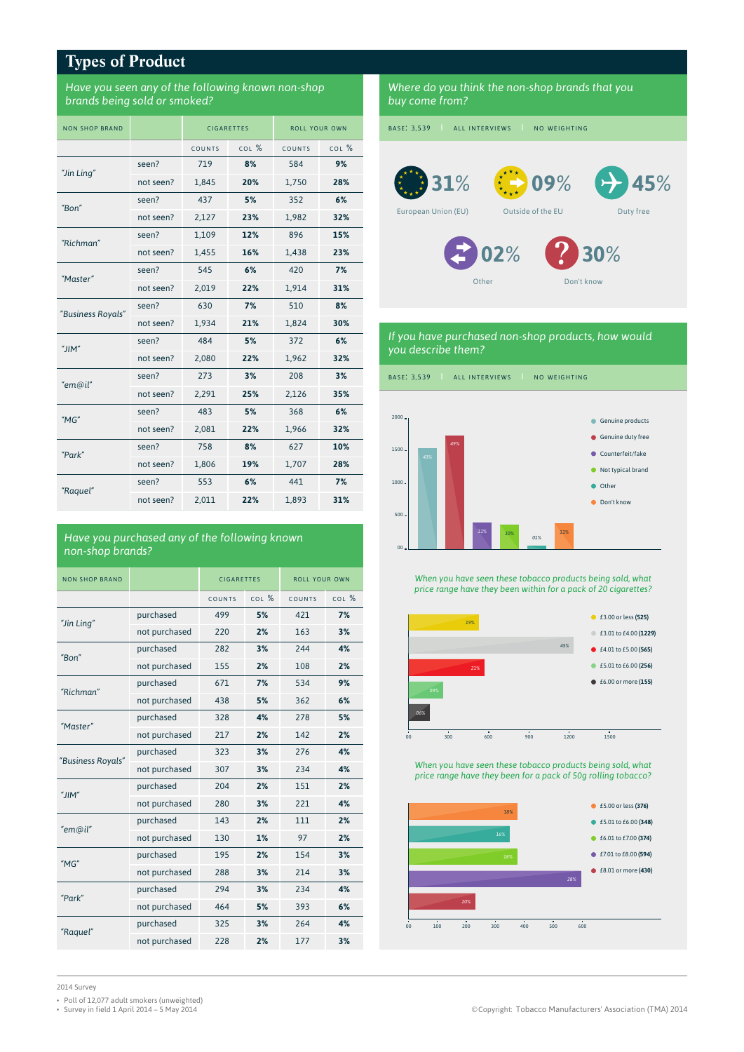## **Types of Product**

#### *Have you seen any of the following known non-shop brands being sold or smoked?*

| <b>NON SHOP BRAND</b> |           | <b>CIGARETTES</b> |       | ROLL YOUR OWN |       |
|-----------------------|-----------|-------------------|-------|---------------|-------|
|                       |           | COUNTS            | COL % | COUNTS        | COL % |
| "Jin Ling"            | seen?     | 719               | 8%    | 584           | 9%    |
|                       | not seen? | 1,845             | 20%   | 1,750         | 28%   |
| "Bon"                 | seen?     | 437               | 5%    | 352           | 6%    |
|                       | not seen? | 2,127             | 23%   | 1,982         | 32%   |
| "Richman"             | seen?     | 1,109             | 12%   | 896           | 15%   |
|                       | not seen? | 1,455             | 16%   | 1,438         | 23%   |
| "Master"              | seen?     | 545               | 6%    | 420           | 7%    |
|                       | not seen? | 2,019             | 22%   | 1,914         | 31%   |
| "Business Royals"     | seen?     | 630               | 7%    | 510           | 8%    |
|                       | not seen? | 1,934             | 21%   | 1,824         | 30%   |
| "JIM"                 | seen?     | 484               | 5%    | 372           | 6%    |
|                       | not seen? | 2,080             | 22%   | 1,962         | 32%   |
| "em@il"               | seen?     | 273               | 3%    | 208           | 3%    |
|                       | not seen? | 2,291             | 25%   | 2,126         | 35%   |
| $M$ G"                | seen?     | 483               | 5%    | 368           | 6%    |
|                       | not seen? | 2,081             | 22%   | 1,966         | 32%   |
|                       | seen?     | 758               | 8%    | 627           | 10%   |
| "Park"                | not seen? | 1,806             | 19%   | 1,707         | 28%   |
|                       | seen?     | 553               | 6%    | 441           | 7%    |
| "Raquel"              | not seen? | 2.011             | 22%   | 1.893         | 31%   |

#### *Have you purchased any of the following known non-shop brands?*

| NON SHOP BRAND    |               | <b>CIGARETTES</b> |         | <b>ROLL YOUR OWN</b> |           |
|-------------------|---------------|-------------------|---------|----------------------|-----------|
|                   |               | COUNTS            | $COI$ % | COUNTS               | $COI$ $%$ |
| "Jin Ling"        | purchased     | 499               | 5%      | 421                  | 7%        |
|                   | not purchased | 220               | 2%      | 163                  | 3%        |
| "Bon"             | purchased     | 282               | 3%      | 244                  | 4%        |
|                   | not purchased | 155               | 2%      | 108                  | 2%        |
| "Richman"         | purchased     | 671               | 7%      | 534                  | 9%        |
|                   | not purchased | 438               | 5%      | 362                  | 6%        |
| "Master"          | purchased     | 328               | 4%      | 278                  | 5%        |
|                   | not purchased | 217               | 2%      | 142                  | 2%        |
| "Business Royals" | purchased     | 323               | 3%      | 276                  | 4%        |
|                   | not purchased | 307               | 3%      | 234                  | 4%        |
| "JIM"             | purchased     | 204               | 2%      | 151                  | 2%        |
|                   | not purchased | 280               | 3%      | 221                  | 4%        |
| "em@il"           | purchased     | 143               | 2%      | 111                  | 2%        |
|                   | not purchased | 130               | 1%      | 97                   | 2%        |
| $M$ G"            | purchased     | 195               | 2%      | 154                  | 3%        |
|                   | not purchased | 288               | 3%      | 214                  | 3%        |
| "Park"            | purchased     | 294               | 3%      | 234                  | 4%        |
|                   | not purchased | 464               | 5%      | 393                  | 6%        |
|                   | purchased     | 325               | 3%      | 264                  | 4%        |
| "Raguel"          | not purchased | 228               | 2%      | 177                  | 3%        |

*Where do you think the non-shop brands that you buy come from?*

BASE: 3,539 | ALL INTERVIEWS | NO WEIGHTING

European Union (EU)



**45***%*



**31***%*



Duty free

Other

Don't know **30***%*

#### *If you have purchased non-shop products, how would you describe them?*

BASE: 3,539 | ALL INTERVIEWS | NO WEIGHTING



*When you have seen these tobacco products being sold, what price range have they been within for a pack of 20 cigarettes?*



*When you have seen these tobacco products being sold, what price range have they been for a pack of 50g rolling tobacco?*



2014 Survey

- 
- Poll of 12,077 adult smokers (unweighted)<br>• Survey in field 1 April 2014 5 May 2014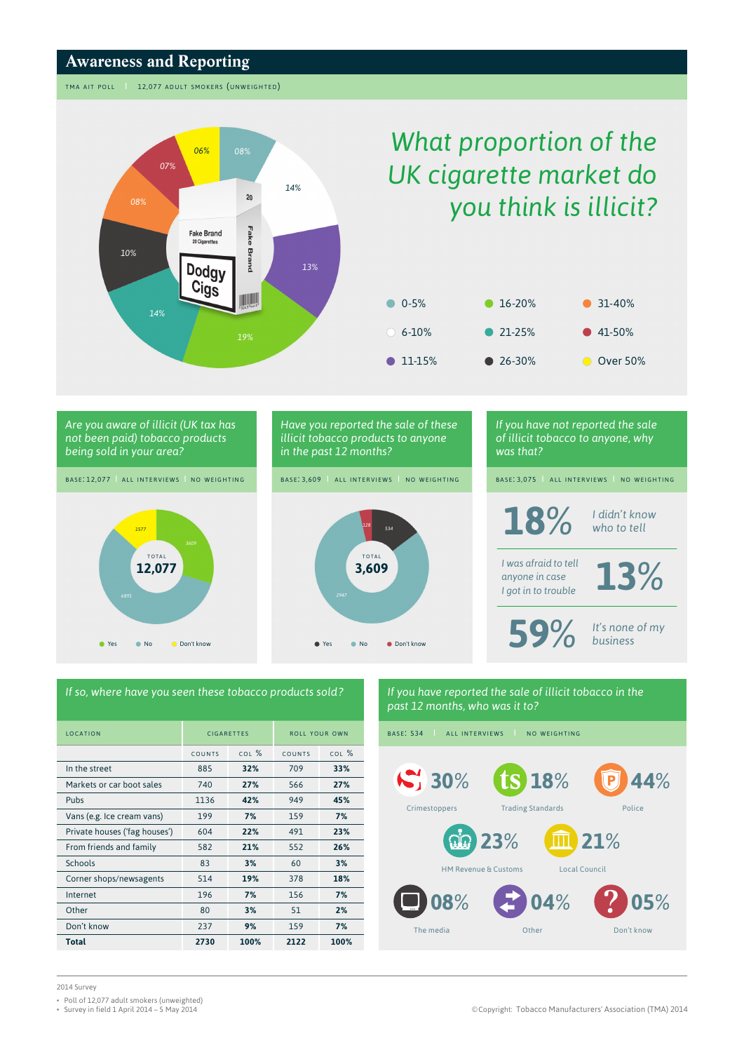### **Awareness and Reporting**

TMA AIT POLL | 12,077 ADULT SMOKERS (UNWEIGHTED)



# *What proportion of the UK cigarette market do you think is illicit?*





# *If so, where have you seen these tobacco products sold ?*

| <b>IOCATION</b>               | <b>CIGARETTES</b> |           | <b>ROLL YOUR OWN</b> |           |
|-------------------------------|-------------------|-----------|----------------------|-----------|
|                               | COUNTS            | $COI$ $%$ | COUNTS               | $COI$ $%$ |
| In the street                 | 885               | 32%       | 709                  | 33%       |
| Markets or car boot sales     | 740               | 27%       | 566                  | 27%       |
| Pubs                          | 1136              | 42%       | 949                  | 45%       |
| Vans (e.g. Ice cream vans)    | 199               | 7%        | 159                  | 7%        |
| Private houses ('fag houses') | 604               | 22%       | 491                  | 23%       |
| From friends and family       | 582               | 21%       | 552                  | 26%       |
| Schools                       | 83                | 3%        | 60                   | 3%        |
| Corner shops/newsagents       | 514               | 19%       | 378                  | 18%       |
| Internet                      | 196               | 7%        | 156                  | 7%        |
| Other                         | 80                | 3%        | 51                   | 2%        |
| Don't know                    | 237               | 9%        | 159                  | 7%        |
| <b>Total</b>                  | 2730              | 100%      | 2122                 | 100%      |

## *If you have reported the sale of illicit tobacco in the past 12 months, who was it to?*

BASE: 534 | ALL INTERVIEWS | NO WEIGHTING



2014 Survey

- Poll of 12,077 adult smokers (unweighted)<br>• Survey in field 1 April 2014 5 May 2014
-